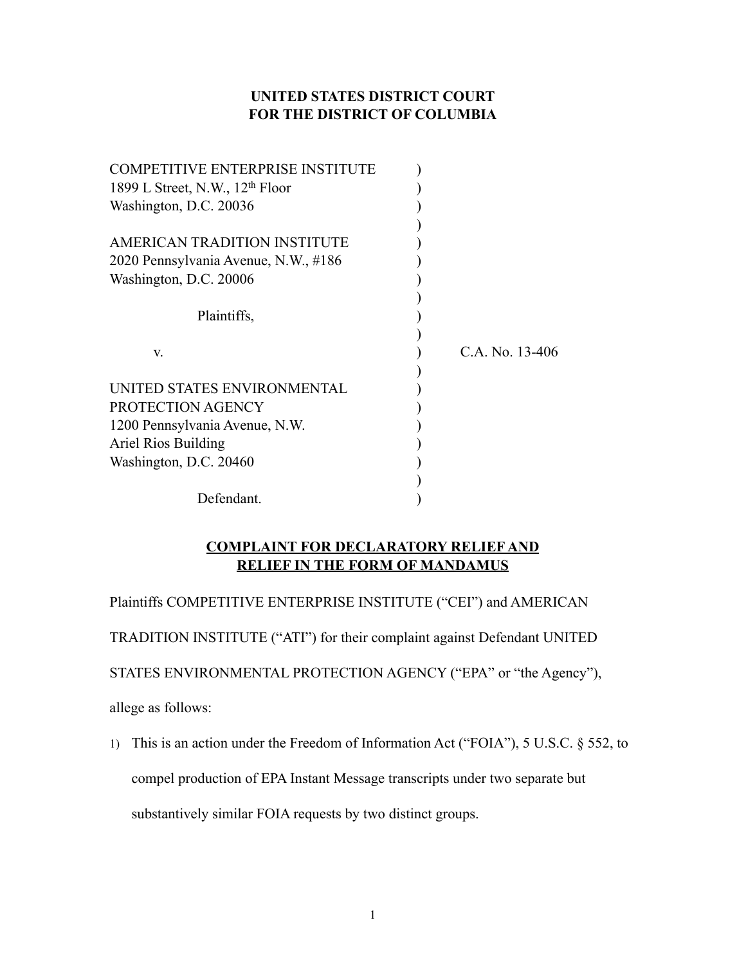# **UNITED STATES DISTRICT COURT FOR THE DISTRICT OF COLUMBIA**

| <b>COMPETITIVE ENTERPRISE INSTITUTE</b>     |                 |
|---------------------------------------------|-----------------|
| 1899 L Street, N.W., 12 <sup>th</sup> Floor |                 |
| Washington, D.C. 20036                      |                 |
| AMERICAN TRADITION INSTITUTE                |                 |
|                                             |                 |
| 2020 Pennsylvania Avenue, N.W., #186        |                 |
| Washington, D.C. 20006                      |                 |
| Plaintiffs,                                 |                 |
|                                             |                 |
| V.                                          | C.A. No. 13-406 |
| UNITED STATES ENVIRONMENTAL                 |                 |
| PROTECTION AGENCY                           |                 |
| 1200 Pennsylvania Avenue, N.W.              |                 |
| Ariel Rios Building                         |                 |
| Washington, D.C. 20460                      |                 |
|                                             |                 |
| Defendant.                                  |                 |

# **COMPLAINT FOR DECLARATORY RELIEF AND RELIEF IN THE FORM OF MANDAMUS**

Plaintiffs COMPETITIVE ENTERPRISE INSTITUTE ("CEI") and AMERICAN

TRADITION INSTITUTE ("ATI") for their complaint against Defendant UNITED

STATES ENVIRONMENTAL PROTECTION AGENCY ("EPA" or "the Agency"),

allege as follows:

1) This is an action under the Freedom of Information Act ("FOIA"), 5 U.S.C. § 552, to compel production of EPA Instant Message transcripts under two separate but substantively similar FOIA requests by two distinct groups.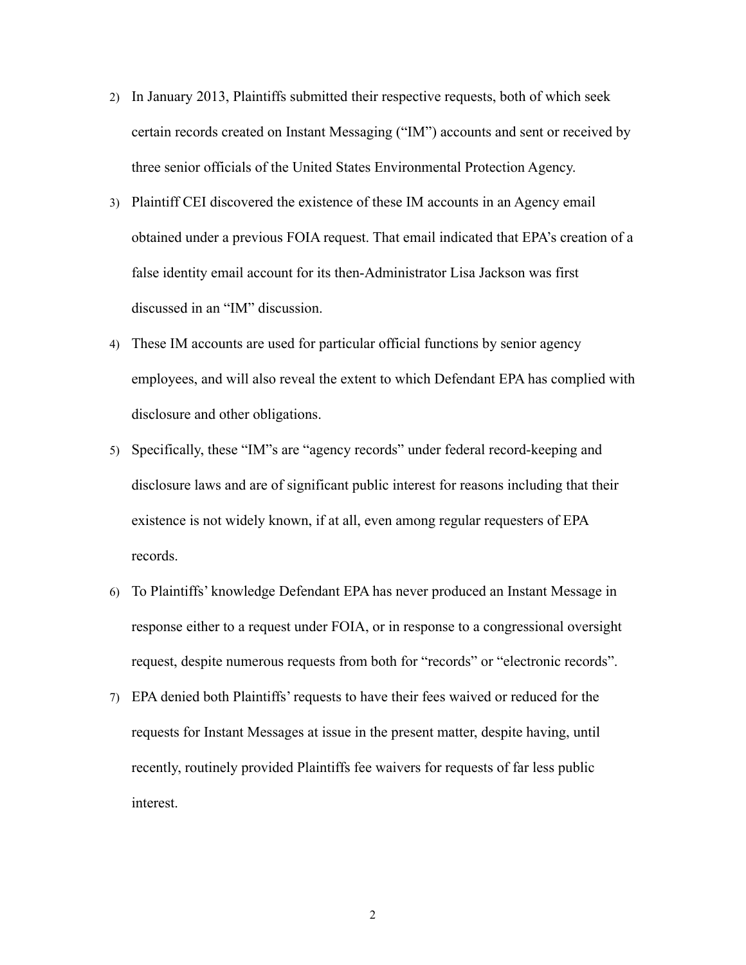- 2) In January 2013, Plaintiffs submitted their respective requests, both of which seek certain records created on Instant Messaging ("IM") accounts and sent or received by three senior officials of the United States Environmental Protection Agency.
- 3) Plaintiff CEI discovered the existence of these IM accounts in an Agency email obtained under a previous FOIA request. That email indicated that EPA's creation of a false identity email account for its then-Administrator Lisa Jackson was first discussed in an "IM" discussion.
- 4) These IM accounts are used for particular official functions by senior agency employees, and will also reveal the extent to which Defendant EPA has complied with disclosure and other obligations.
- 5) Specifically, these "IM"s are "agency records" under federal record-keeping and disclosure laws and are of significant public interest for reasons including that their existence is not widely known, if at all, even among regular requesters of EPA records.
- 6) To Plaintiffs' knowledge Defendant EPA has never produced an Instant Message in response either to a request under FOIA, or in response to a congressional oversight request, despite numerous requests from both for "records" or "electronic records".
- 7) EPA denied both Plaintiffs' requests to have their fees waived or reduced for the requests for Instant Messages at issue in the present matter, despite having, until recently, routinely provided Plaintiffs fee waivers for requests of far less public interest.

2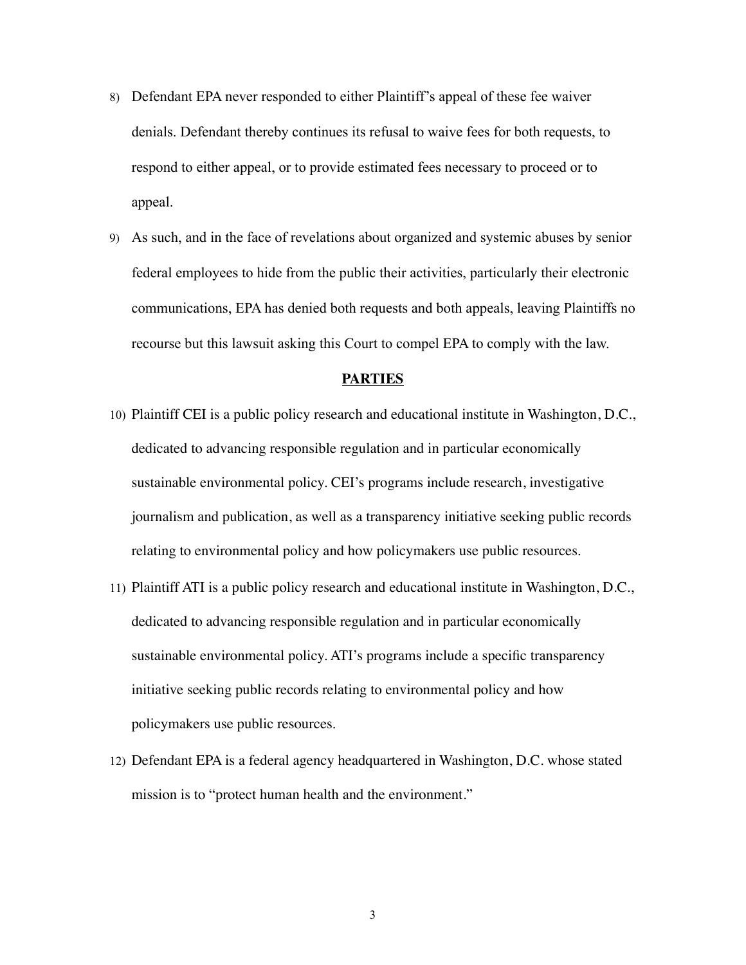- 8) Defendant EPA never responded to either Plaintiff's appeal of these fee waiver denials. Defendant thereby continues its refusal to waive fees for both requests, to respond to either appeal, or to provide estimated fees necessary to proceed or to appeal.
- 9) As such, and in the face of revelations about organized and systemic abuses by senior federal employees to hide from the public their activities, particularly their electronic communications, EPA has denied both requests and both appeals, leaving Plaintiffs no recourse but this lawsuit asking this Court to compel EPA to comply with the law.

#### **PARTIES**

- 10) Plaintiff CEI is a public policy research and educational institute in Washington, D.C., dedicated to advancing responsible regulation and in particular economically sustainable environmental policy. CEI's programs include research, investigative journalism and publication, as well as a transparency initiative seeking public records relating to environmental policy and how policymakers use public resources.
- 11) Plaintiff ATI is a public policy research and educational institute in Washington, D.C., dedicated to advancing responsible regulation and in particular economically sustainable environmental policy. ATI's programs include a specific transparency initiative seeking public records relating to environmental policy and how policymakers use public resources.
- 12) Defendant EPA is a federal agency headquartered in Washington, D.C. whose stated mission is to "protect human health and the environment."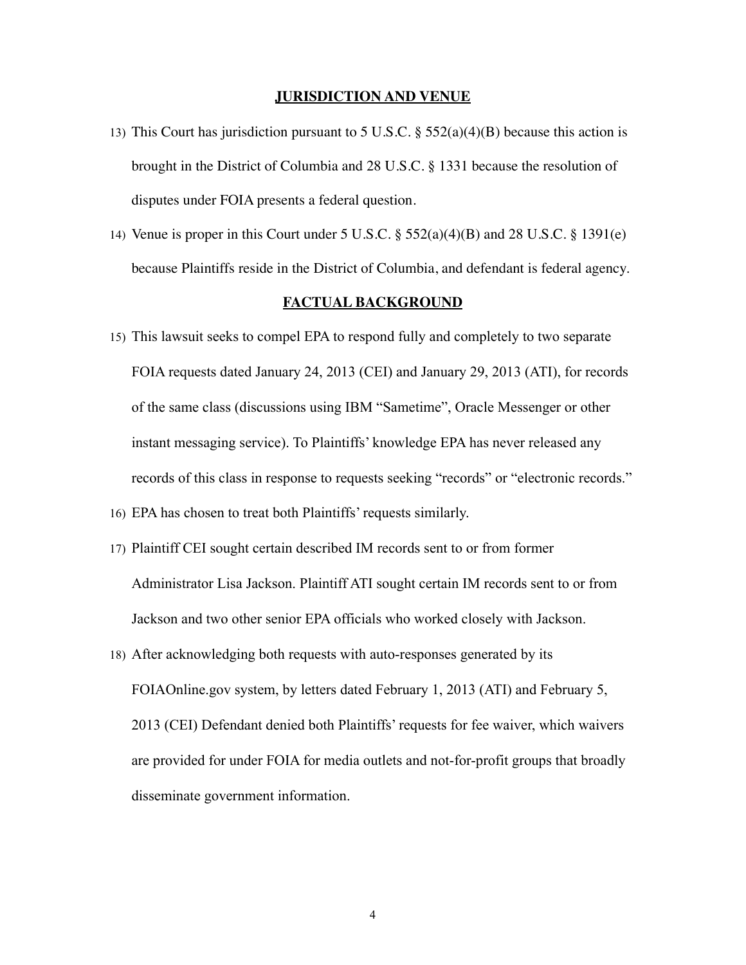#### **JURISDICTION AND VENUE**

- 13) This Court has jurisdiction pursuant to 5 U.S.C.  $\S$  552(a)(4)(B) because this action is brought in the District of Columbia and 28 U.S.C. § 1331 because the resolution of disputes under FOIA presents a federal question.
- 14) Venue is proper in this Court under 5 U.S.C. § 552(a)(4)(B) and 28 U.S.C. § 1391(e) because Plaintiffs reside in the District of Columbia, and defendant is federal agency.

#### **FACTUAL BACKGROUND**

- 15) This lawsuit seeks to compel EPA to respond fully and completely to two separate FOIA requests dated January 24, 2013 (CEI) and January 29, 2013 (ATI), for records of the same class (discussions using IBM "Sametime", Oracle Messenger or other instant messaging service). To Plaintiffs' knowledge EPA has never released any records of this class in response to requests seeking "records" or "electronic records." 16) EPA has chosen to treat both Plaintiffs' requests similarly.
- 17) Plaintiff CEI sought certain described IM records sent to or from former Administrator Lisa Jackson. Plaintiff ATI sought certain IM records sent to or from Jackson and two other senior EPA officials who worked closely with Jackson.
- 18) After acknowledging both requests with auto-responses generated by its FOIAOnline.gov system, by letters dated February 1, 2013 (ATI) and February 5, 2013 (CEI) Defendant denied both Plaintiffs' requests for fee waiver, which waivers are provided for under FOIA for media outlets and not-for-profit groups that broadly disseminate government information.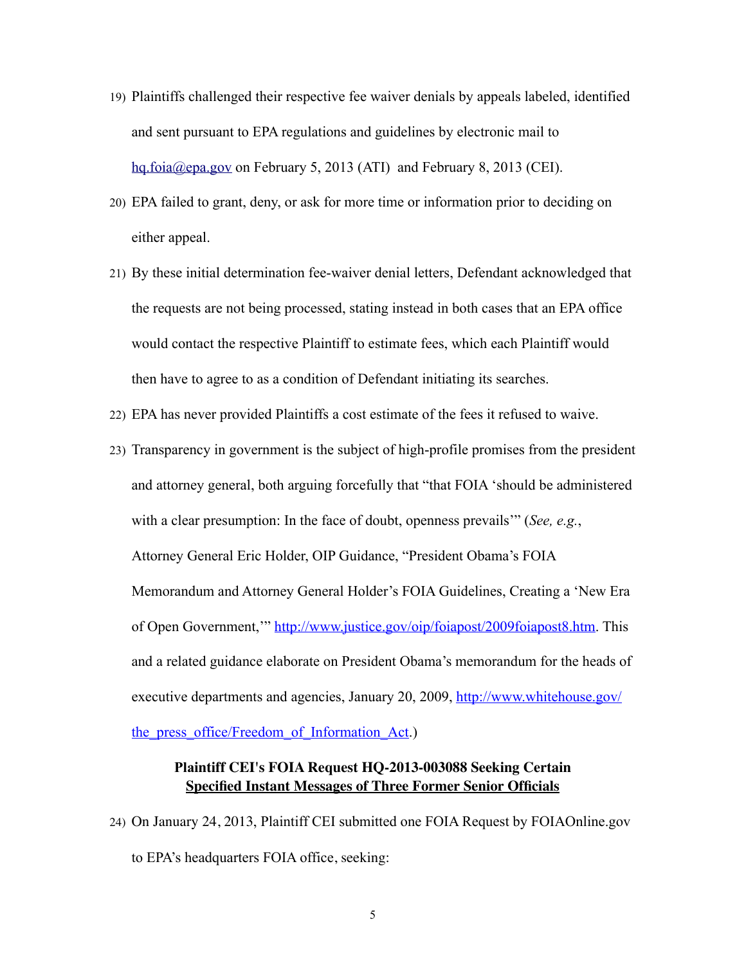- 19) Plaintiffs challenged their respective fee waiver denials by appeals labeled, identified and sent pursuant to EPA regulations and guidelines by electronic mail to [hq.foia@epa.gov](mailto:hq.foia@epa.gov) on February 5, 2013 (ATI) and February 8, 2013 (CEI).
- 20) EPA failed to grant, deny, or ask for more time or information prior to deciding on either appeal.
- 21) By these initial determination fee-waiver denial letters, Defendant acknowledged that the requests are not being processed, stating instead in both cases that an EPA office would contact the respective Plaintiff to estimate fees, which each Plaintiff would then have to agree to as a condition of Defendant initiating its searches.
- 22) EPA has never provided Plaintiffs a cost estimate of the fees it refused to waive.
- 23) Transparency in government is the subject of high-profile promises from the president and attorney general, both arguing forcefully that "that FOIA 'should be administered with a clear presumption: In the face of doubt, openness prevails'" (*See, e.g.*, Attorney General Eric Holder, OIP Guidance, "President Obama's FOIA Memorandum and Attorney General Holder's FOIA Guidelines, Creating a 'New Era of Open Government,'" [http://www.justice.gov/oip/foiapost/2009foiapost8.htm.](http://www.justice.gov/oip/foiapost/2009foiapost8.htm) This and a related guidance elaborate on President Obama's memorandum for the heads of executive departments and agencies, January 20, 2009, [http://www.whitehouse.gov/](http://www.whitehouse.gov/the_press_office/Freedom_of_Information_Act)

[the\\_press\\_office/Freedom\\_of\\_Information\\_Act.](http://www.whitehouse.gov/the_press_office/Freedom_of_Information_Act))

# **Plaintiff CEI's FOIA Request HQ-2013-003088 Seeking Certain Specified Instant Messages of Three Former Senior Officials**

24) On January 24, 2013, Plaintiff CEI submitted one FOIA Request by FOIAOnline.gov to EPA's headquarters FOIA office, seeking: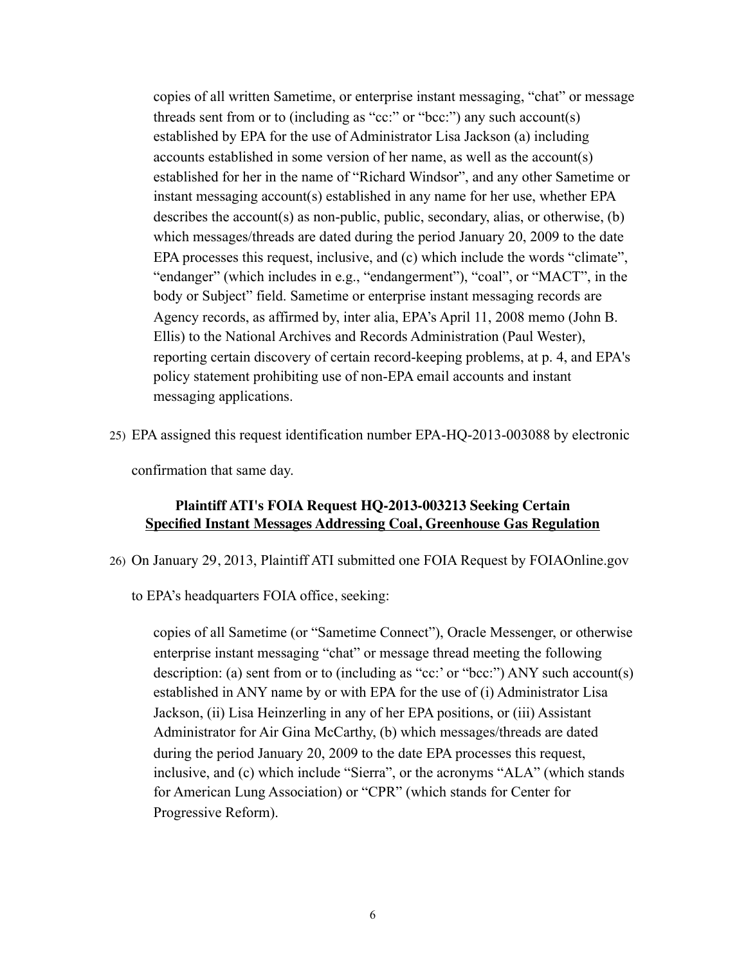copies of all written Sametime, or enterprise instant messaging, "chat" or message threads sent from or to (including as "cc:" or "bcc:") any such account(s) established by EPA for the use of Administrator Lisa Jackson (a) including accounts established in some version of her name, as well as the account(s) established for her in the name of "Richard Windsor", and any other Sametime or instant messaging account(s) established in any name for her use, whether EPA describes the account(s) as non-public, public, secondary, alias, or otherwise, (b) which messages/threads are dated during the period January 20, 2009 to the date EPA processes this request, inclusive, and (c) which include the words "climate", "endanger" (which includes in e.g., "endangerment"), "coal", or "MACT", in the body or Subject" field. Sametime or enterprise instant messaging records are Agency records, as affirmed by, inter alia, EPA's April 11, 2008 memo (John B. Ellis) to the National Archives and Records Administration (Paul Wester), reporting certain discovery of certain record-keeping problems, at p. 4, and EPA's policy statement prohibiting use of non-EPA email accounts and instant messaging applications.

25) EPA assigned this request identification number EPA-HQ-2013-003088 by electronic

confirmation that same day.

#### **Plaintiff ATI's FOIA Request HQ-2013-003213 Seeking Certain Specified Instant Messages Addressing Coal, Greenhouse Gas Regulation**

- 26) On January 29, 2013, Plaintiff ATI submitted one FOIA Request by FOIAOnline.gov
	- to EPA's headquarters FOIA office, seeking:

copies of all Sametime (or "Sametime Connect"), Oracle Messenger, or otherwise enterprise instant messaging "chat" or message thread meeting the following description: (a) sent from or to (including as "cc:' or "bcc:") ANY such account(s) established in ANY name by or with EPA for the use of (i) Administrator Lisa Jackson, (ii) Lisa Heinzerling in any of her EPA positions, or (iii) Assistant Administrator for Air Gina McCarthy, (b) which messages/threads are dated during the period January 20, 2009 to the date EPA processes this request, inclusive, and (c) which include "Sierra", or the acronyms "ALA" (which stands for American Lung Association) or "CPR" (which stands for Center for Progressive Reform).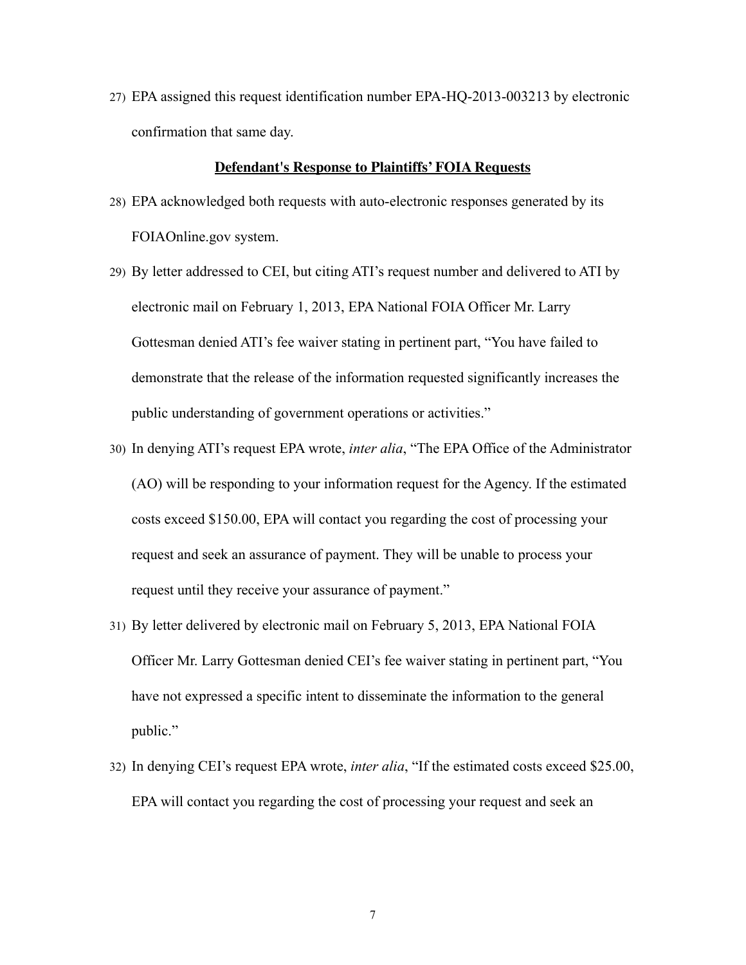27) EPA assigned this request identification number EPA-HQ-2013-003213 by electronic confirmation that same day.

#### **Defendant's Response to Plaintiffs' FOIA Requests**

- 28) EPA acknowledged both requests with auto-electronic responses generated by its FOIAOnline.gov system.
- 29) By letter addressed to CEI, but citing ATI's request number and delivered to ATI by electronic mail on February 1, 2013, EPA National FOIA Officer Mr. Larry Gottesman denied ATI's fee waiver stating in pertinent part, "You have failed to demonstrate that the release of the information requested significantly increases the public understanding of government operations or activities."
- 30) In denying ATI's request EPA wrote, *inter alia*, "The EPA Office of the Administrator (AO) will be responding to your information request for the Agency. If the estimated costs exceed \$150.00, EPA will contact you regarding the cost of processing your request and seek an assurance of payment. They will be unable to process your request until they receive your assurance of payment."
- 31) By letter delivered by electronic mail on February 5, 2013, EPA National FOIA Officer Mr. Larry Gottesman denied CEI's fee waiver stating in pertinent part, "You have not expressed a specific intent to disseminate the information to the general public."
- 32) In denying CEI's request EPA wrote, *inter alia*, "If the estimated costs exceed \$25.00, EPA will contact you regarding the cost of processing your request and seek an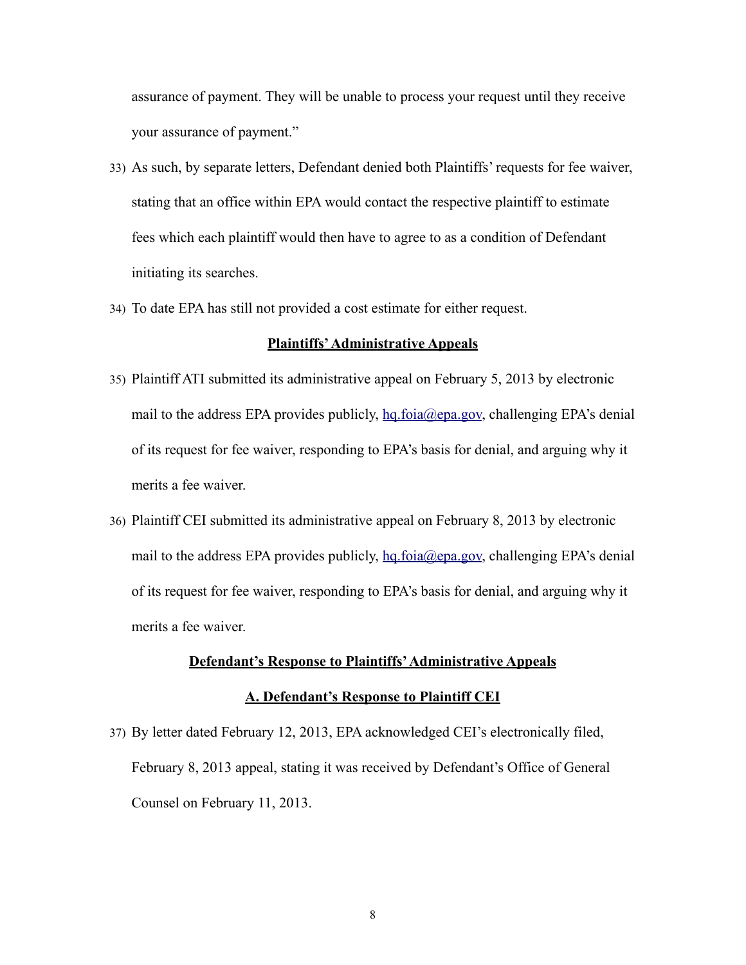assurance of payment. They will be unable to process your request until they receive your assurance of payment."

- 33) As such, by separate letters, Defendant denied both Plaintiffs' requests for fee waiver, stating that an office within EPA would contact the respective plaintiff to estimate fees which each plaintiff would then have to agree to as a condition of Defendant initiating its searches.
- 34) To date EPA has still not provided a cost estimate for either request.

#### **Plaintiffs' Administrative Appeals**

- 35) Plaintiff ATI submitted its administrative appeal on February 5, 2013 by electronic mail to the address EPA provides publicly, [hq.foia@epa.gov,](mailto:hq.foia@epa.gov) challenging EPA's denial of its request for fee waiver, responding to EPA's basis for denial, and arguing why it merits a fee waiver.
- 36) Plaintiff CEI submitted its administrative appeal on February 8, 2013 by electronic mail to the address EPA provides publicly, [hq.foia@epa.gov,](mailto:hq.foia@epa.gov) challenging EPA's denial of its request for fee waiver, responding to EPA's basis for denial, and arguing why it merits a fee waiver.

# **Defendant's Response to Plaintiffs' Administrative Appeals**

## **A. Defendant's Response to Plaintiff CEI**

37) By letter dated February 12, 2013, EPA acknowledged CEI's electronically filed, February 8, 2013 appeal, stating it was received by Defendant's Office of General Counsel on February 11, 2013.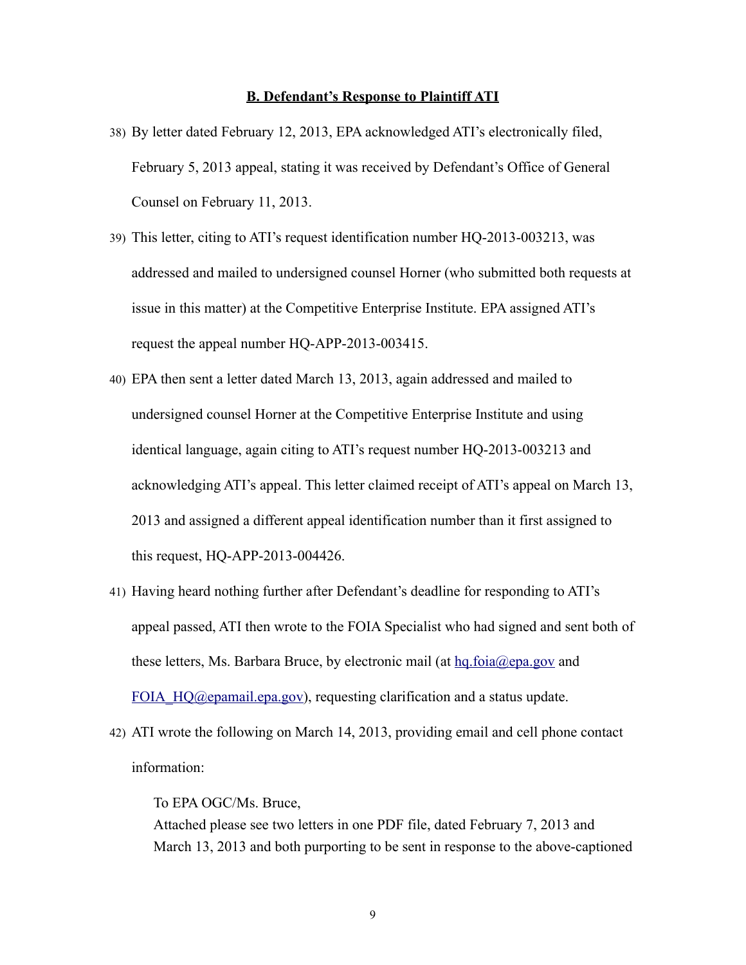#### **B. Defendant's Response to Plaintiff ATI**

- 38) By letter dated February 12, 2013, EPA acknowledged ATI's electronically filed, February 5, 2013 appeal, stating it was received by Defendant's Office of General Counsel on February 11, 2013.
- 39) This letter, citing to ATI's request identification number HQ-2013-003213, was addressed and mailed to undersigned counsel Horner (who submitted both requests at issue in this matter) at the Competitive Enterprise Institute. EPA assigned ATI's request the appeal number HQ-APP-2013-003415.
- 40) EPA then sent a letter dated March 13, 2013, again addressed and mailed to undersigned counsel Horner at the Competitive Enterprise Institute and using identical language, again citing to ATI's request number HQ-2013-003213 and acknowledging ATI's appeal. This letter claimed receipt of ATI's appeal on March 13, 2013 and assigned a different appeal identification number than it first assigned to this request, HQ-APP-2013-004426.
- 41) Having heard nothing further after Defendant's deadline for responding to ATI's appeal passed, ATI then wrote to the FOIA Specialist who had signed and sent both of these letters, Ms. Barbara Bruce, by electronic mail (at [hq.foia@epa.gov](mailto:hq.foia@epa.gov) and FOIA HQ@epamail.epa.gov), requesting clarification and a status update.
- 42) ATI wrote the following on March 14, 2013, providing email and cell phone contact information:

To EPA OGC/Ms. Bruce, Attached please see two letters in one PDF file, dated February 7, 2013 and March 13, 2013 and both purporting to be sent in response to the above-captioned

9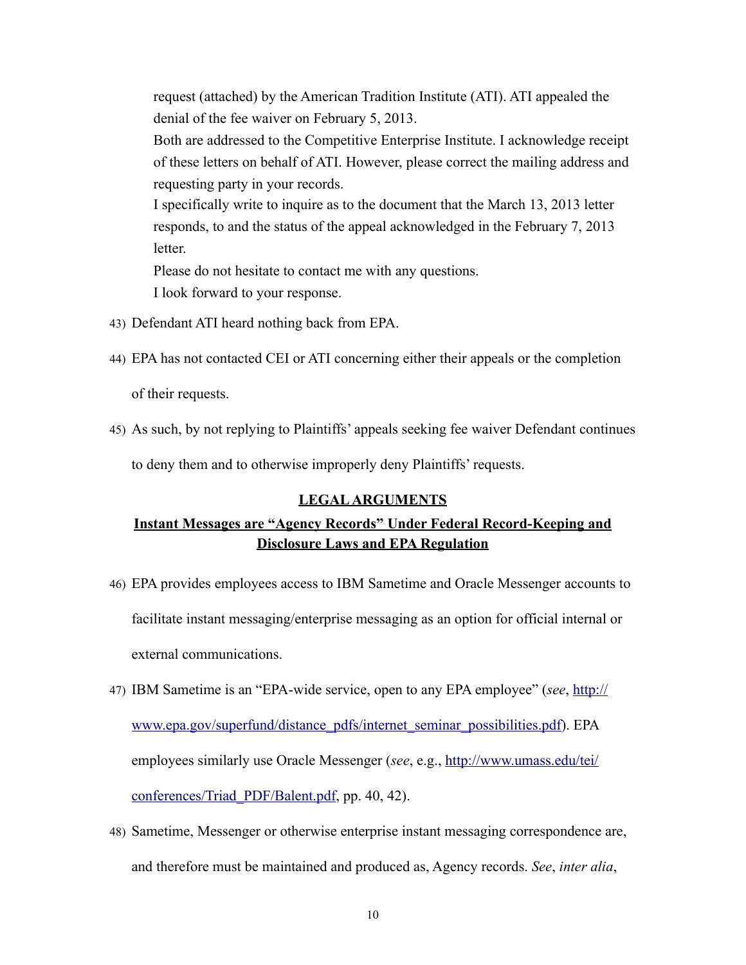request (attached) by the American Tradition Institute (ATI). ATI appealed the denial of the fee waiver on February 5, 2013. Both are addressed to the Competitive Enterprise Institute. I acknowledge receipt of these letters on behalf of ATI. However, please correct the mailing address and requesting party in your records. I specifically write to inquire as to the document that the March 13, 2013 letter responds, to and the status of the appeal acknowledged in the February 7, 2013 letter. Please do not hesitate to contact me with any questions.

I look forward to your response.

- 43) Defendant ATI heard nothing back from EPA.
- 44) EPA has not contacted CEI or ATI concerning either their appeals or the completion of their requests.
- 45) As such, by not replying to Plaintiffs' appeals seeking fee waiver Defendant continues to deny them and to otherwise improperly deny Plaintiffs' requests.

#### **LEGAL ARGUMENTS**

# **Instant Messages are "Agency Records" Under Federal Record-Keeping and Disclosure Laws and EPA Regulation**

- 46) EPA provides employees access to IBM Sametime and Oracle Messenger accounts to facilitate instant messaging/enterprise messaging as an option for official internal or external communications.
- 47) IBM Sametime is an "EPA-wide service, open to any EPA employee" (*see*, [http://](http://www.epa.gov/superfund/distance_pdfs/internet_seminar_possibilities.pdf) [www.epa.gov/superfund/distance\\_pdfs/internet\\_seminar\\_possibilities.pdf\)](http://www.epa.gov/superfund/distance_pdfs/internet_seminar_possibilities.pdf). EPA employees similarly use Oracle Messenger (*see*, e.g., [http://www.umass.edu/tei/](http://www.umass.edu/tei/conferences/Triad_PDF/Balent.pdf) [conferences/Triad\\_PDF/Balent.pdf,](http://www.umass.edu/tei/conferences/Triad_PDF/Balent.pdf) pp. 40, 42).
- 48) Sametime, Messenger or otherwise enterprise instant messaging correspondence are, and therefore must be maintained and produced as, Agency records. *See*, *inter alia*,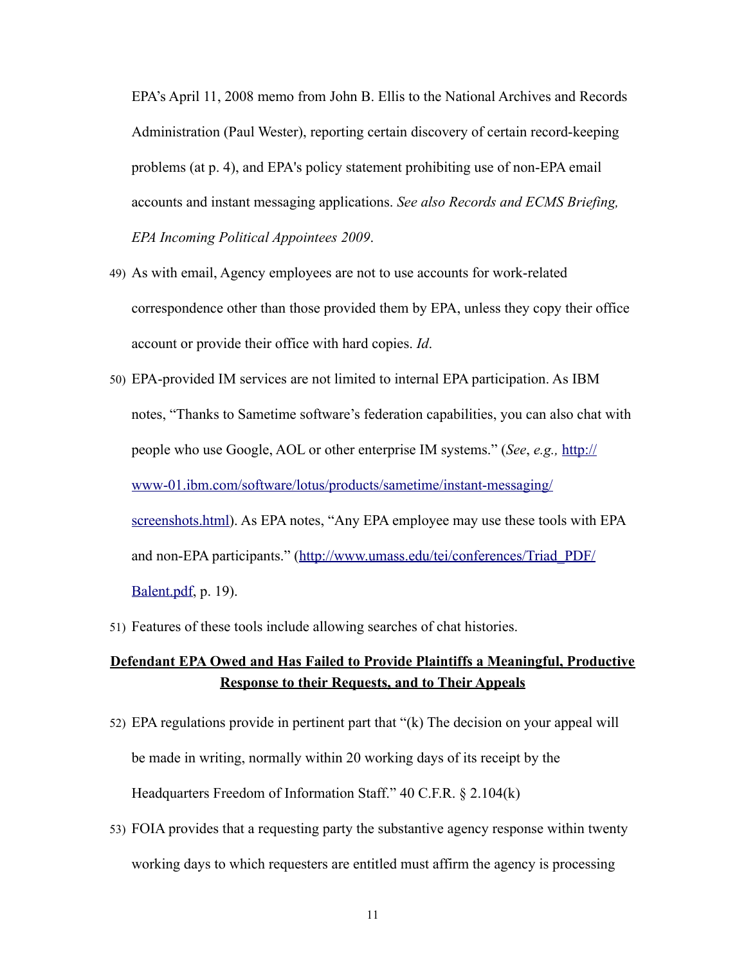EPA's April 11, 2008 memo from John B. Ellis to the National Archives and Records Administration (Paul Wester), reporting certain discovery of certain record-keeping problems (at p. 4), and EPA's policy statement prohibiting use of non-EPA email accounts and instant messaging applications. *See also Records and ECMS Briefing, EPA Incoming Political Appointees 2009*.

- 49) As with email, Agency employees are not to use accounts for work-related correspondence other than those provided them by EPA, unless they copy their office account or provide their office with hard copies. *Id*.
- 50) EPA-provided IM services are not limited to internal EPA participation. As IBM notes, "Thanks to Sametime software's federation capabilities, you can also chat with people who use Google, AOL or other enterprise IM systems." (*See*, *e.g.,* [http://](http://www-01.ibm.com/software/lotus/products/sametime/instant-messaging/screenshots.html) [www-01.ibm.com/software/lotus/products/sametime/instant-messaging/](http://www-01.ibm.com/software/lotus/products/sametime/instant-messaging/screenshots.html) [screenshots.html](http://www-01.ibm.com/software/lotus/products/sametime/instant-messaging/screenshots.html)). As EPA notes, "Any EPA employee may use these tools with EPA and non-EPA participants." ([http://www.umass.edu/tei/conferences/Triad\\_PDF/](http://www.umass.edu/tei/conferences/Triad_PDF/Balent.pdf) [Balent.pdf](http://www.umass.edu/tei/conferences/Triad_PDF/Balent.pdf), p. 19).
- 51) Features of these tools include allowing searches of chat histories.

# **Defendant EPA Owed and Has Failed to Provide Plaintiffs a Meaningful, Productive Response to their Requests, and to Their Appeals**

- 52) EPA regulations provide in pertinent part that "(k) The decision on your appeal will be made in writing, normally within 20 working days of its receipt by the Headquarters Freedom of Information Staff." 40 C.F.R. § 2.104(k)
- 53) FOIA provides that a requesting party the substantive agency response within twenty working days to which requesters are entitled must affirm the agency is processing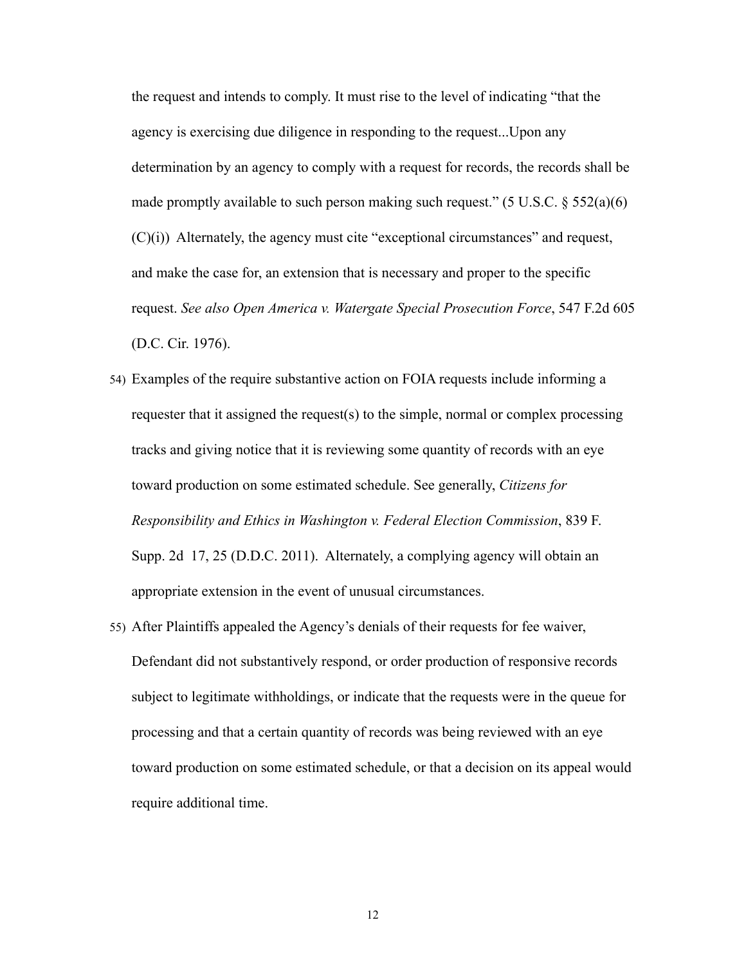the request and intends to comply. It must rise to the level of indicating "that the agency is exercising due diligence in responding to the request...Upon any determination by an agency to comply with a request for records, the records shall be made promptly available to such person making such request." (5 U.S.C.  $\S 552(a)(6)$ ) (C)(i)) Alternately, the agency must cite "exceptional circumstances" and request, and make the case for, an extension that is necessary and proper to the specific request. *See also Open America v. Watergate Special Prosecution Force*, 547 F.2d 605 (D.C. Cir. 1976).

- 54) Examples of the require substantive action on FOIA requests include informing a requester that it assigned the request(s) to the simple, normal or complex processing tracks and giving notice that it is reviewing some quantity of records with an eye toward production on some estimated schedule. See generally, *Citizens for Responsibility and Ethics in Washington v. Federal Election Commission*, 839 F. Supp. 2d 17, 25 (D.D.C. 2011). Alternately, a complying agency will obtain an appropriate extension in the event of unusual circumstances.
- 55) After Plaintiffs appealed the Agency's denials of their requests for fee waiver, Defendant did not substantively respond, or order production of responsive records subject to legitimate withholdings, or indicate that the requests were in the queue for processing and that a certain quantity of records was being reviewed with an eye toward production on some estimated schedule, or that a decision on its appeal would require additional time.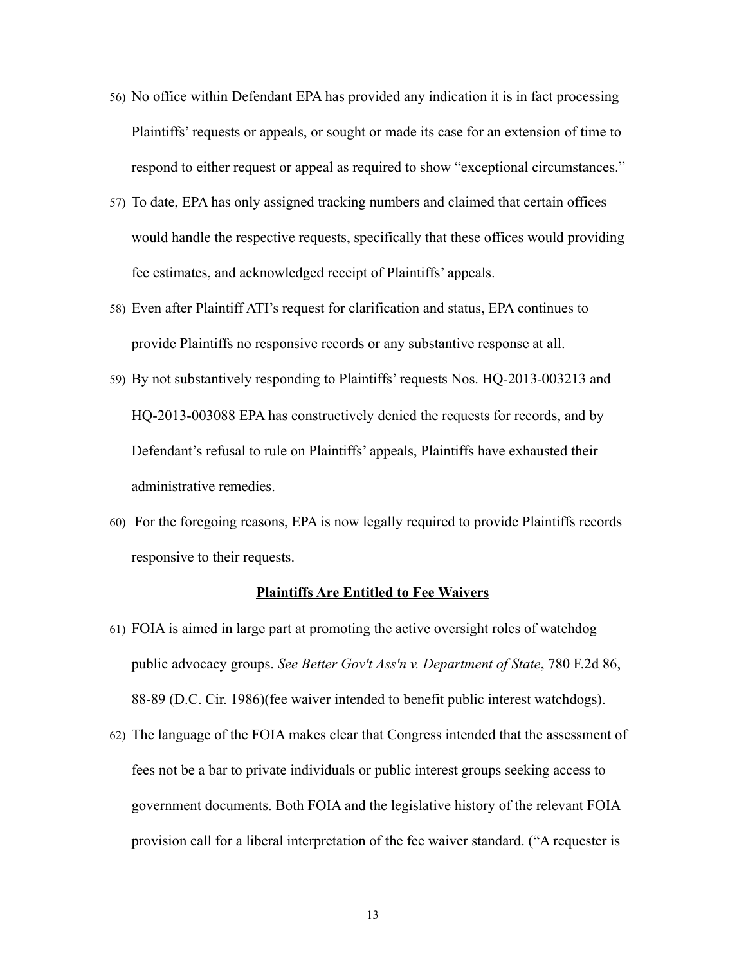- 56) No office within Defendant EPA has provided any indication it is in fact processing Plaintiffs' requests or appeals, or sought or made its case for an extension of time to respond to either request or appeal as required to show "exceptional circumstances."
- 57) To date, EPA has only assigned tracking numbers and claimed that certain offices would handle the respective requests, specifically that these offices would providing fee estimates, and acknowledged receipt of Plaintiffs' appeals.
- 58) Even after Plaintiff ATI's request for clarification and status, EPA continues to provide Plaintiffs no responsive records or any substantive response at all.
- 59) By not substantively responding to Plaintiffs' requests Nos. HQ-2013-003213 and HQ-2013-003088 EPA has constructively denied the requests for records, and by Defendant's refusal to rule on Plaintiffs' appeals, Plaintiffs have exhausted their administrative remedies.
- 60) For the foregoing reasons, EPA is now legally required to provide Plaintiffs records responsive to their requests.

#### **Plaintiffs Are Entitled to Fee Waivers**

- 61) FOIA is aimed in large part at promoting the active oversight roles of watchdog public advocacy groups. *See Better Gov't Ass'n v. Department of State*, 780 F.2d 86, 88-89 (D.C. Cir. 1986)(fee waiver intended to benefit public interest watchdogs).
- 62) The language of the FOIA makes clear that Congress intended that the assessment of fees not be a bar to private individuals or public interest groups seeking access to government documents. Both FOIA and the legislative history of the relevant FOIA provision call for a liberal interpretation of the fee waiver standard. ("A requester is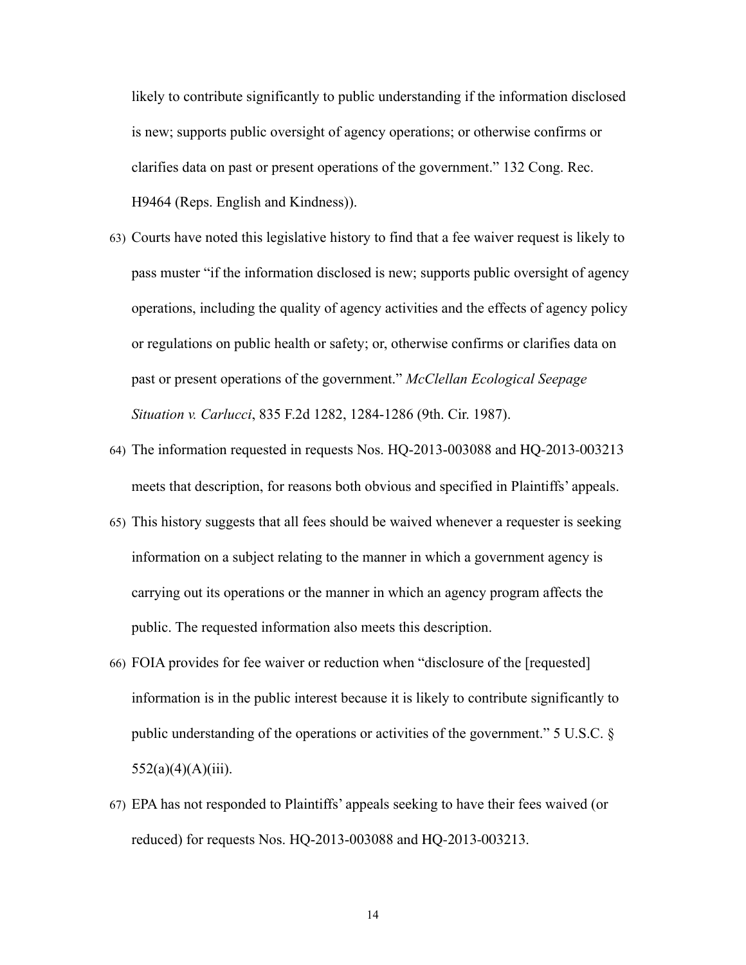likely to contribute significantly to public understanding if the information disclosed is new; supports public oversight of agency operations; or otherwise confirms or clarifies data on past or present operations of the government." 132 Cong. Rec. H9464 (Reps. English and Kindness)).

- 63) Courts have noted this legislative history to find that a fee waiver request is likely to pass muster "if the information disclosed is new; supports public oversight of agency operations, including the quality of agency activities and the effects of agency policy or regulations on public health or safety; or, otherwise confirms or clarifies data on past or present operations of the government." *McClellan Ecological Seepage Situation v. Carlucci*, 835 F.2d 1282, 1284-1286 (9th. Cir. 1987).
- 64) The information requested in requests Nos. HQ-2013-003088 and HQ-2013-003213 meets that description, for reasons both obvious and specified in Plaintiffs' appeals.
- 65) This history suggests that all fees should be waived whenever a requester is seeking information on a subject relating to the manner in which a government agency is carrying out its operations or the manner in which an agency program affects the public. The requested information also meets this description.
- 66) FOIA provides for fee waiver or reduction when "disclosure of the [requested] information is in the public interest because it is likely to contribute significantly to public understanding of the operations or activities of the government." 5 U.S.C. §  $552(a)(4)(A)(iii)$ .
- 67) EPA has not responded to Plaintiffs' appeals seeking to have their fees waived (or reduced) for requests Nos. HQ-2013-003088 and HQ-2013-003213.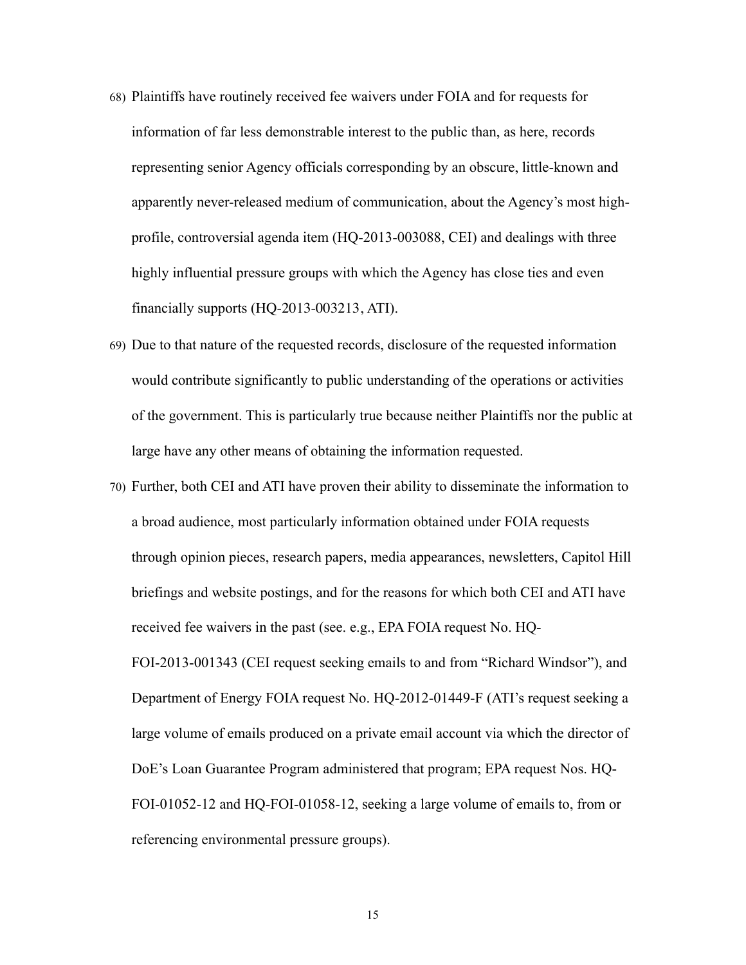- 68) Plaintiffs have routinely received fee waivers under FOIA and for requests for information of far less demonstrable interest to the public than, as here, records representing senior Agency officials corresponding by an obscure, little-known and apparently never-released medium of communication, about the Agency's most highprofile, controversial agenda item (HQ-2013-003088, CEI) and dealings with three highly influential pressure groups with which the Agency has close ties and even financially supports (HQ-2013-003213, ATI).
- 69) Due to that nature of the requested records, disclosure of the requested information would contribute significantly to public understanding of the operations or activities of the government. This is particularly true because neither Plaintiffs nor the public at large have any other means of obtaining the information requested.
- 70) Further, both CEI and ATI have proven their ability to disseminate the information to a broad audience, most particularly information obtained under FOIA requests through opinion pieces, research papers, media appearances, newsletters, Capitol Hill briefings and website postings, and for the reasons for which both CEI and ATI have received fee waivers in the past (see. e.g., EPA FOIA request No. HQ-FOI-2013-001343 (CEI request seeking emails to and from "Richard Windsor"), and Department of Energy FOIA request No. HQ-2012-01449-F (ATI's request seeking a large volume of emails produced on a private email account via which the director of DoE's Loan Guarantee Program administered that program; EPA request Nos. HQ-FOI-01052-12 and HQ-FOI-01058-12, seeking a large volume of emails to, from or referencing environmental pressure groups).

15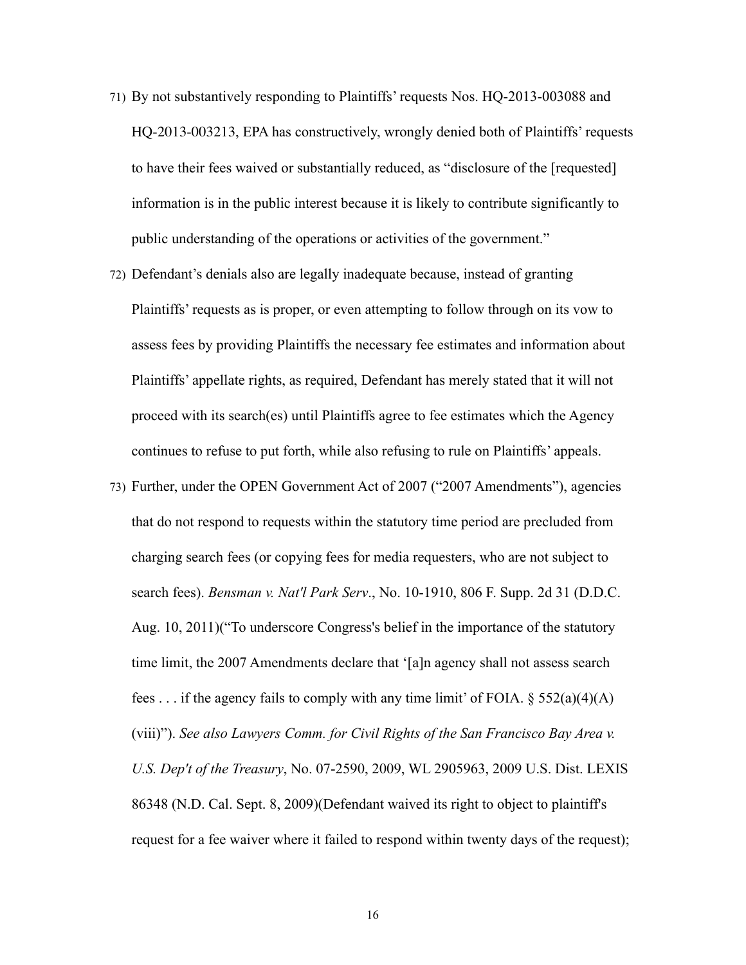- 71) By not substantively responding to Plaintiffs' requests Nos. HQ-2013-003088 and HQ-2013-003213, EPA has constructively, wrongly denied both of Plaintiffs' requests to have their fees waived or substantially reduced, as "disclosure of the [requested] information is in the public interest because it is likely to contribute significantly to public understanding of the operations or activities of the government."
- 72) Defendant's denials also are legally inadequate because, instead of granting Plaintiffs' requests as is proper, or even attempting to follow through on its vow to assess fees by providing Plaintiffs the necessary fee estimates and information about Plaintiffs' appellate rights, as required, Defendant has merely stated that it will not proceed with its search(es) until Plaintiffs agree to fee estimates which the Agency continues to refuse to put forth, while also refusing to rule on Plaintiffs' appeals.
- 73) Further, under the OPEN Government Act of 2007 ("2007 Amendments"), agencies that do not respond to requests within the statutory time period are precluded from charging search fees (or copying fees for media requesters, who are not subject to search fees). *Bensman v. Nat'l Park Serv*., No. 10-1910, 806 F. Supp. 2d 31 (D.D.C. Aug. 10, 2011)("To underscore Congress's belief in the importance of the statutory time limit, the 2007 Amendments declare that '[a]n agency shall not assess search fees ... if the agency fails to comply with any time limit' of FOIA.  $\S 552(a)(4)(A)$ (viii)"). *See also Lawyers Comm. for Civil Rights of the San Francisco Bay Area v. U.S. Dep't of the Treasury*, No. 07-2590, 2009, WL 2905963, 2009 U.S. Dist. LEXIS 86348 (N.D. Cal. Sept. 8, 2009)(Defendant waived its right to object to plaintiff's request for a fee waiver where it failed to respond within twenty days of the request);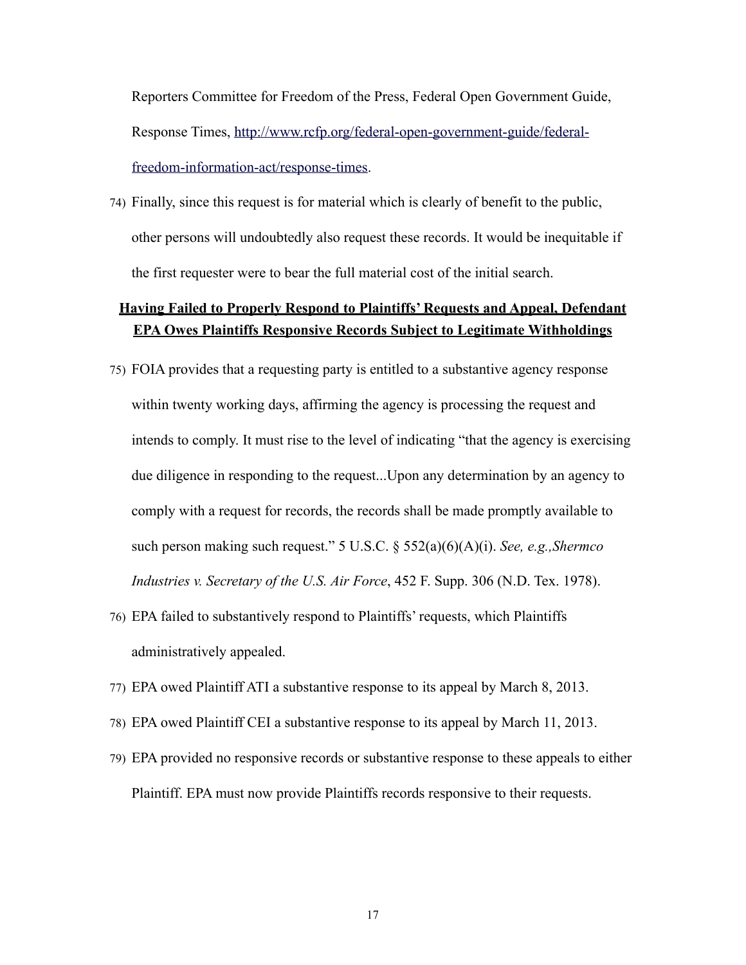Reporters Committee for Freedom of the Press, Federal Open Government Guide, Response Times, [http://www.rcfp.org/federal-open-government-guide/federal](http://www.rcfp.org/federal-open-government-guide/federal-freedom-information-act/response-times)[freedom-information-act/response-times.](http://www.rcfp.org/federal-open-government-guide/federal-freedom-information-act/response-times)

74) Finally, since this request is for material which is clearly of benefit to the public, other persons will undoubtedly also request these records. It would be inequitable if the first requester were to bear the full material cost of the initial search.

# **Having Failed to Properly Respond to Plaintiffs' Requests and Appeal, Defendant EPA Owes Plaintiffs Responsive Records Subject to Legitimate Withholdings**

- 75) FOIA provides that a requesting party is entitled to a substantive agency response within twenty working days, affirming the agency is processing the request and intends to comply. It must rise to the level of indicating "that the agency is exercising due diligence in responding to the request...Upon any determination by an agency to comply with a request for records, the records shall be made promptly available to such person making such request." 5 U.S.C. § 552(a)(6)(A)(i). *See, e.g.,Shermco Industries v. Secretary of the U.S. Air Force*, 452 F. Supp. 306 (N.D. Tex. 1978).
- 76) EPA failed to substantively respond to Plaintiffs' requests, which Plaintiffs administratively appealed.
- 77) EPA owed Plaintiff ATI a substantive response to its appeal by March 8, 2013.
- 78) EPA owed Plaintiff CEI a substantive response to its appeal by March 11, 2013.
- 79) EPA provided no responsive records or substantive response to these appeals to either Plaintiff. EPA must now provide Plaintiffs records responsive to their requests.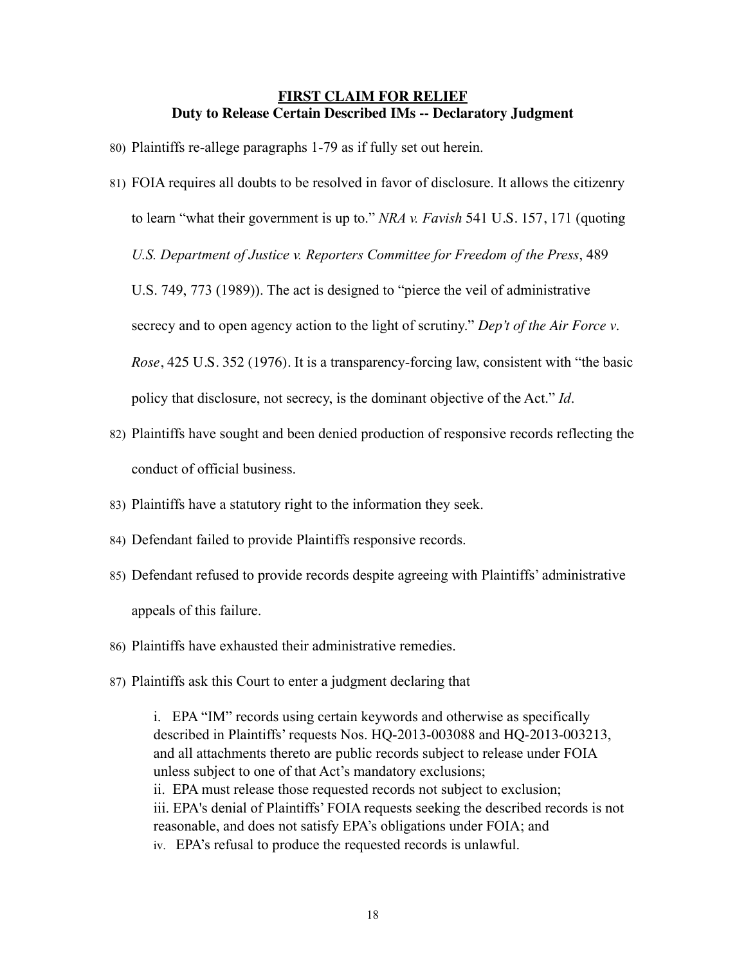#### **FIRST CLAIM FOR RELIEF Duty to Release Certain Described IMs -- Declaratory Judgment**

- 80) Plaintiffs re-allege paragraphs 1-79 as if fully set out herein.
- 81) FOIA requires all doubts to be resolved in favor of disclosure. It allows the citizenry to learn "what their government is up to." *NRA v. Favish* 541 U.S. 157, 171 (quoting
	- *U.S. Department of Justice v. Reporters Committee for Freedom of the Press*, 489

U.S. 749, 773 (1989)). The act is designed to "pierce the veil of administrative

secrecy and to open agency action to the light of scrutiny." *Dep't of the Air Force v.* 

*Rose*, 425 U.S. 352 (1976). It is a transparency-forcing law, consistent with "the basic

policy that disclosure, not secrecy, is the dominant objective of the Act." *Id*.

- 82) Plaintiffs have sought and been denied production of responsive records reflecting the conduct of official business.
- 83) Plaintiffs have a statutory right to the information they seek.
- 84) Defendant failed to provide Plaintiffs responsive records.
- 85) Defendant refused to provide records despite agreeing with Plaintiffs' administrative appeals of this failure.
- 86) Plaintiffs have exhausted their administrative remedies.
- 87) Plaintiffs ask this Court to enter a judgment declaring that

i. EPA "IM" records using certain keywords and otherwise as specifically described in Plaintiffs' requests Nos. HQ-2013-003088 and HQ-2013-003213, and all attachments thereto are public records subject to release under FOIA unless subject to one of that Act's mandatory exclusions; ii. EPA must release those requested records not subject to exclusion; iii. EPA's denial of Plaintiffs' FOIA requests seeking the described records is not reasonable, and does not satisfy EPA's obligations under FOIA; and iv. EPA's refusal to produce the requested records is unlawful.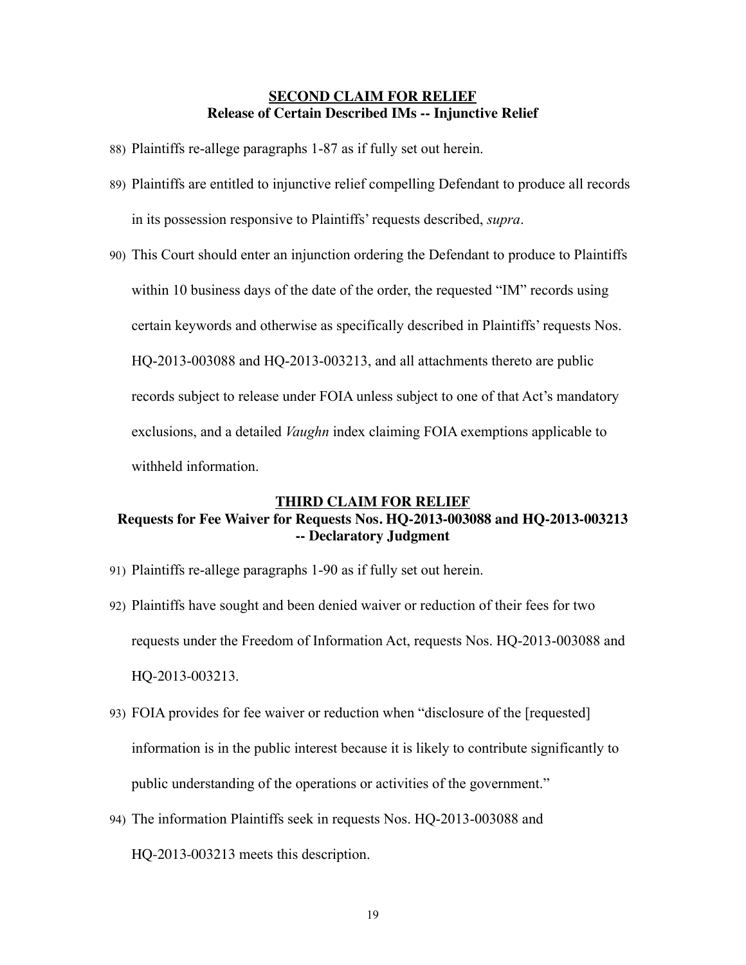#### **SECOND CLAIM FOR RELIEF Release of Certain Described IMs -- Injunctive Relief**

- 88) Plaintiffs re-allege paragraphs 1-87 as if fully set out herein.
- 89) Plaintiffs are entitled to injunctive relief compelling Defendant to produce all records in its possession responsive to Plaintiffs' requests described, *supra*.
- 90) This Court should enter an injunction ordering the Defendant to produce to Plaintiffs within 10 business days of the date of the order, the requested "IM" records using certain keywords and otherwise as specifically described in Plaintiffs' requests Nos. HQ-2013-003088 and HQ-2013-003213, and all attachments thereto are public records subject to release under FOIA unless subject to one of that Act's mandatory exclusions, and a detailed *Vaughn* index claiming FOIA exemptions applicable to withheld information.

#### **THIRD CLAIM FOR RELIEF Requests for Fee Waiver for Requests Nos. HQ-2013-003088 and HQ-2013-003213 -- Declaratory Judgment**

- 91) Plaintiffs re-allege paragraphs 1-90 as if fully set out herein.
- 92) Plaintiffs have sought and been denied waiver or reduction of their fees for two requests under the Freedom of Information Act, requests Nos. HQ-2013-003088 and HQ-2013-003213.
- 93) FOIA provides for fee waiver or reduction when "disclosure of the [requested] information is in the public interest because it is likely to contribute significantly to public understanding of the operations or activities of the government."
- 94) The information Plaintiffs seek in requests Nos. HQ-2013-003088 and HQ-2013-003213 meets this description.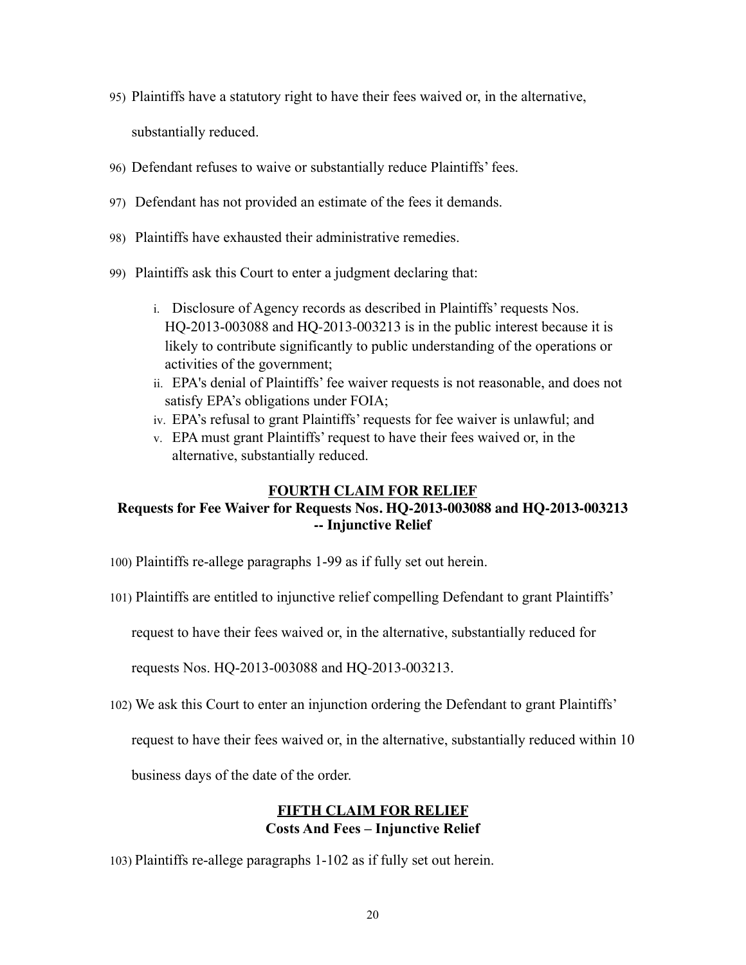95) Plaintiffs have a statutory right to have their fees waived or, in the alternative,

substantially reduced.

- 96) Defendant refuses to waive or substantially reduce Plaintiffs' fees.
- 97) Defendant has not provided an estimate of the fees it demands.
- 98) Plaintiffs have exhausted their administrative remedies.
- 99) Plaintiffs ask this Court to enter a judgment declaring that:
	- i. Disclosure of Agency records as described in Plaintiffs' requests Nos. HQ-2013-003088 and HQ-2013-003213 is in the public interest because it is likely to contribute significantly to public understanding of the operations or activities of the government;
	- ii. EPA's denial of Plaintiffs' fee waiver requests is not reasonable, and does not satisfy EPA's obligations under FOIA;
	- iv. EPA's refusal to grant Plaintiffs' requests for fee waiver is unlawful; and
	- v. EPA must grant Plaintiffs' request to have their fees waived or, in the alternative, substantially reduced.

#### **FOURTH CLAIM FOR RELIEF Requests for Fee Waiver for Requests Nos. HQ-2013-003088 and HQ-2013-003213 -- Injunctive Relief**

- 100) Plaintiffs re-allege paragraphs 1-99 as if fully set out herein.
- 101) Plaintiffs are entitled to injunctive relief compelling Defendant to grant Plaintiffs'

request to have their fees waived or, in the alternative, substantially reduced for

requests Nos. HQ-2013-003088 and HQ-2013-003213.

102) We ask this Court to enter an injunction ordering the Defendant to grant Plaintiffs'

request to have their fees waived or, in the alternative, substantially reduced within 10

business days of the date of the order.

### **FIFTH CLAIM FOR RELIEF Costs And Fees – Injunctive Relief**

103) Plaintiffs re-allege paragraphs 1-102 as if fully set out herein.